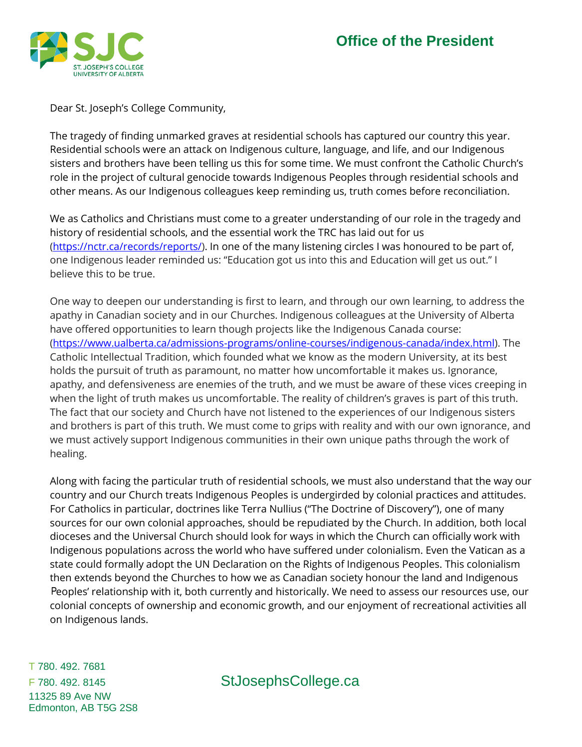

Dear St. Joseph's College Community,

The tragedy of finding unmarked graves at residential schools has captured our country this year. Residential schools were an attack on Indigenous culture, language, and life, and our Indigenous sisters and brothers have been telling us this for some time. We must confront the Catholic Church's role in the project of cultural genocide towards Indigenous Peoples through residential schools and other means. As our Indigenous colleagues keep reminding us, truth comes before reconciliation.

We as Catholics and Christians must come to a greater understanding of our role in the tragedy and history of residential schools, and the essential work the TRC has laid out for us [\(https://nctr.ca/records/reports/\)](https://nctr.ca/records/reports/). In one of the many listening circles I was honoured to be part of, one Indigenous leader reminded us: "Education got us into this and Education will get us out." I believe this to be true.

One way to deepen our understanding is first to learn, and through our own learning, to address the apathy in Canadian society and in our Churches. Indigenous colleagues at the University of Alberta have offered opportunities to learn though projects like the Indigenous Canada course: [\(https://www.ualberta.ca/admissions-programs/online-courses/indigenous-canada/index.html\)](https://www.ualberta.ca/admissions-programs/online-courses/indigenous-canada/index.html). The Catholic Intellectual Tradition, which founded what we know as the modern University, at its best holds the pursuit of truth as paramount, no matter how uncomfortable it makes us. Ignorance, apathy, and defensiveness are enemies of the truth, and we must be aware of these vices creeping in when the light of truth makes us uncomfortable. The reality of children's graves is part of this truth. The fact that our society and Church have not listened to the experiences of our Indigenous sisters and brothers is part of this truth. We must come to grips with reality and with our own ignorance, and we must actively support Indigenous communities in their own unique paths through the work of healing.

Along with facing the particular truth of residential schools, we must also understand that the way our country and our Church treats Indigenous Peoples is undergirded by colonial practices and attitudes. For Catholics in particular, doctrines like Terra Nullius ("The Doctrine of Discovery"), one of many sources for our own colonial approaches, should be repudiated by the Church. In addition, both local dioceses and the Universal Church should look for ways in which the Church can officially work with Indigenous populations across the world who have suffered under colonialism. Even the Vatican as a state could formally adopt the UN Declaration on the Rights of Indigenous Peoples. This colonialism then extends beyond the Churches to how we as Canadian society honour the land and Indigenous Peoples' relationship with it, both currently and historically. We need to assess our resources use, our colonial concepts of ownership and economic growth, and our enjoyment of recreational activities all on Indigenous lands.

T 780. 492. 7681 11325 89 Ave NW Edmonton, AB T5G 2S8

F 780. 492. 8145 StJosephsCollege.ca